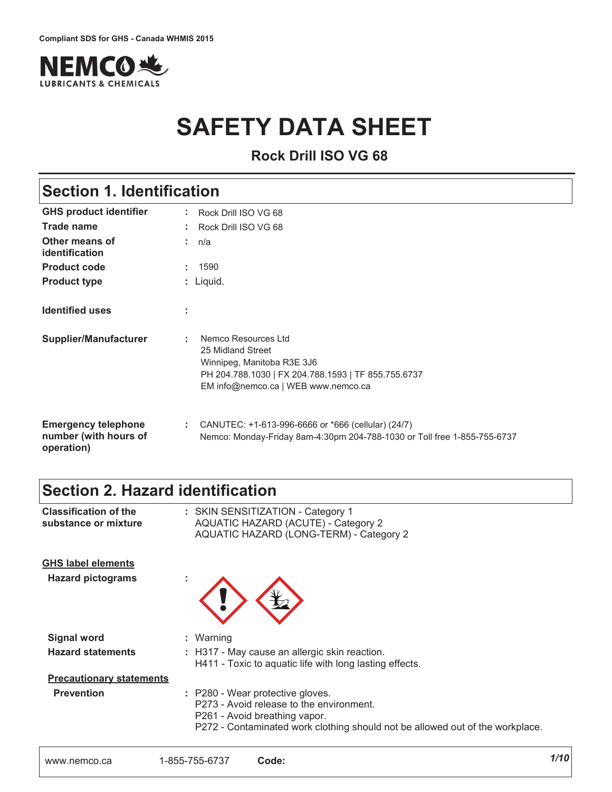

# **SAFETY DATA SHEET**

**Rock Drill ISO VG 68** 

### **Section 1. Identification**

| <b>GHS product identifier</b>                                     | Rock Drill ISO VG 68                                                                                                                                                      |
|-------------------------------------------------------------------|---------------------------------------------------------------------------------------------------------------------------------------------------------------------------|
| Trade name                                                        | Rock Drill ISO VG 68                                                                                                                                                      |
| Other means of<br>identification                                  | : n/a                                                                                                                                                                     |
| <b>Product code</b>                                               | 1590                                                                                                                                                                      |
| <b>Product type</b>                                               | : Liquid.                                                                                                                                                                 |
| <b>Identified uses</b>                                            | ÷                                                                                                                                                                         |
| <b>Supplier/Manufacturer</b>                                      | Nemco Resources Ltd<br>÷<br>25 Midland Street<br>Winnipeg, Manitoba R3E 3J6<br>PH 204.788.1030   FX 204.788.1593   TF 855.755.6737<br>EM info@nemco.ca   WEB www.nemco.ca |
| <b>Emergency telephone</b><br>number (with hours of<br>operation) | CANUTEC: +1-613-996-6666 or *666 (cellular) (24/7)<br>÷.<br>Nemco: Monday-Friday 8am-4:30pm 204-788-1030 or Toll free 1-855-755-6737                                      |

### Section 2. Hazard identification

| <b>Classification of the</b><br>substance or mixture | : SKIN SENSITIZATION - Category 1<br><b>AQUATIC HAZARD (ACUTE) - Category 2</b><br>AQUATIC HAZARD (LONG-TERM) - Category 2                                                                     |
|------------------------------------------------------|------------------------------------------------------------------------------------------------------------------------------------------------------------------------------------------------|
| <b>GHS label elements</b>                            |                                                                                                                                                                                                |
| <b>Hazard pictograms</b>                             | ٠                                                                                                                                                                                              |
| <b>Signal word</b>                                   | : Warning                                                                                                                                                                                      |
| <b>Hazard statements</b>                             | : H317 - May cause an allergic skin reaction.<br>H411 - Toxic to aquatic life with long lasting effects.                                                                                       |
| <b>Precautionary statements</b>                      |                                                                                                                                                                                                |
| <b>Prevention</b>                                    | : P280 - Wear protective gloves.<br>P273 - Avoid release to the environment.<br>P261 - Avoid breathing vapor.<br>P272 - Contaminated work clothing should not be allowed out of the workplace. |
|                                                      |                                                                                                                                                                                                |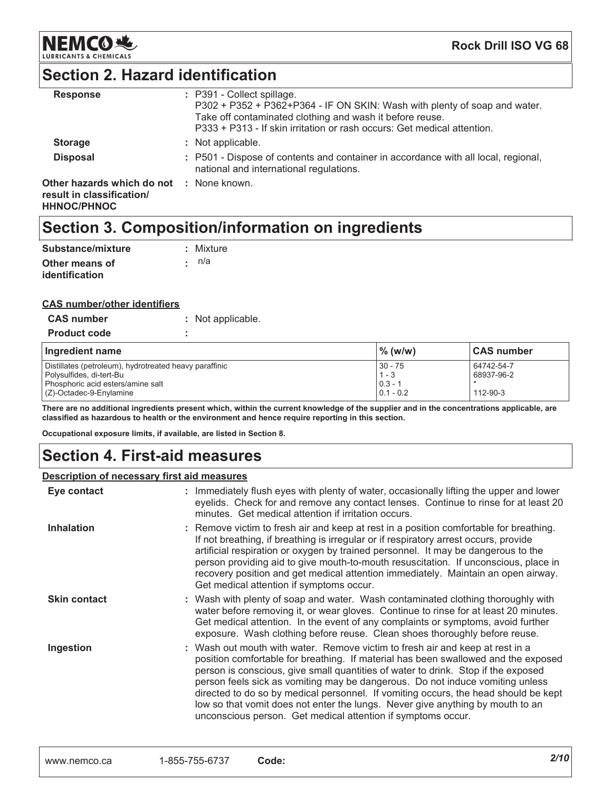

**Rock Drill ISO VG 68** 

### **Section 2. Hazard identification**

| <b>Response</b>                                                               | : P391 - Collect spillage.<br>P302 + P352 + P362+P364 - IF ON SKIN: Wash with plenty of soap and water.<br>Take off contaminated clothing and wash it before reuse.<br>P333 + P313 - If skin irritation or rash occurs: Get medical attention. |
|-------------------------------------------------------------------------------|------------------------------------------------------------------------------------------------------------------------------------------------------------------------------------------------------------------------------------------------|
| <b>Storage</b>                                                                | : Not applicable.                                                                                                                                                                                                                              |
| <b>Disposal</b>                                                               | : P501 - Dispose of contents and container in accordance with all local, regional,<br>national and international regulations.                                                                                                                  |
| Other hazards which do not<br>result in classification/<br><b>HHNOC/PHNOC</b> | : None known.                                                                                                                                                                                                                                  |

### Section 3. Composition/information on ingredients

| Substance/mixture | : Mixture |
|-------------------|-----------|
| Other means of    | ∙: n/a    |
| identification    |           |

#### **CAS number/other identifiers**

| <b>CAS number</b>                                                                                                                                  | : Not applicable. |                                                  |                                            |
|----------------------------------------------------------------------------------------------------------------------------------------------------|-------------------|--------------------------------------------------|--------------------------------------------|
| <b>Product code</b>                                                                                                                                |                   |                                                  |                                            |
| Ingredient name                                                                                                                                    |                   | $\%$ (w/w)                                       | <b>CAS number</b>                          |
| Distillates (petroleum), hydrotreated heavy paraffinic<br>Polysulfides, di-tert-Bu<br>Phosphoric acid esters/amine salt<br>(Z)-Octadec-9-Enylamine |                   | $30 - 75$<br>$1 - 3$<br>$0.3 - 1$<br>$0.1 - 0.2$ | 64742-54-7<br>68937-96-2<br>$112 - 90 - 3$ |

There are no additional ingredients present which, within the current knowledge of the supplier and in the concentrations applicable, are classified as hazardous to health or the environment and hence require reporting in this section.

Occupational exposure limits, if available, are listed in Section 8.

### **Section 4. First-aid measures**

#### Description of necessary first aid measures

| Eye contact         | : Immediately flush eyes with plenty of water, occasionally lifting the upper and lower<br>eyelids. Check for and remove any contact lenses. Continue to rinse for at least 20<br>minutes. Get medical attention if irritation occurs.                                                                                                                                                                                                                                                                                                                                             |
|---------------------|------------------------------------------------------------------------------------------------------------------------------------------------------------------------------------------------------------------------------------------------------------------------------------------------------------------------------------------------------------------------------------------------------------------------------------------------------------------------------------------------------------------------------------------------------------------------------------|
| <b>Inhalation</b>   | : Remove victim to fresh air and keep at rest in a position comfortable for breathing.<br>If not breathing, if breathing is irregular or if respiratory arrest occurs, provide<br>artificial respiration or oxygen by trained personnel. It may be dangerous to the<br>person providing aid to give mouth-to-mouth resuscitation. If unconscious, place in<br>recovery position and get medical attention immediately. Maintain an open airway.<br>Get medical attention if symptoms occur.                                                                                        |
| <b>Skin contact</b> | : Wash with plenty of soap and water. Wash contaminated clothing thoroughly with<br>water before removing it, or wear gloves. Continue to rinse for at least 20 minutes.<br>Get medical attention. In the event of any complaints or symptoms, avoid further<br>exposure. Wash clothing before reuse. Clean shoes thoroughly before reuse.                                                                                                                                                                                                                                         |
| Ingestion           | : Wash out mouth with water. Remove victim to fresh air and keep at rest in a<br>position comfortable for breathing. If material has been swallowed and the exposed<br>person is conscious, give small quantities of water to drink. Stop if the exposed<br>person feels sick as vomiting may be dangerous. Do not induce vomiting unless<br>directed to do so by medical personnel. If vomiting occurs, the head should be kept<br>low so that vomit does not enter the lungs. Never give anything by mouth to an<br>unconscious person. Get medical attention if symptoms occur. |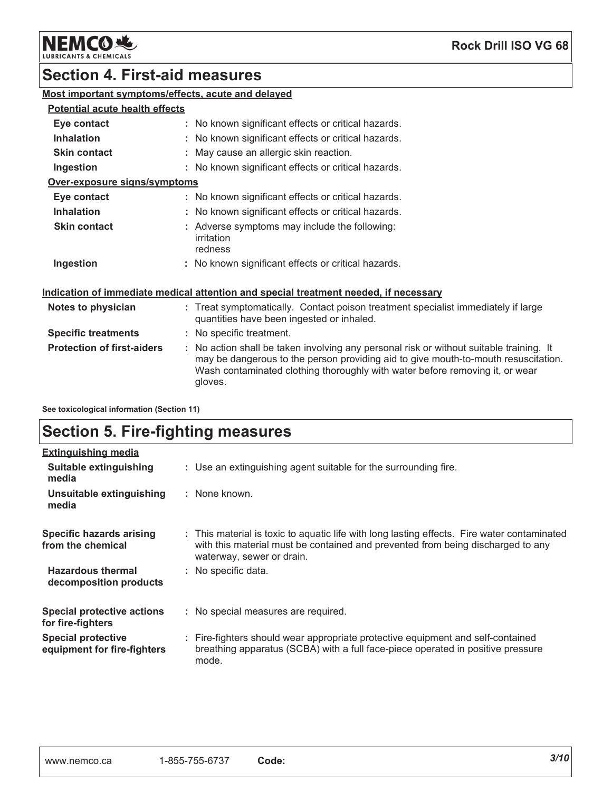

### **Section 4. First-aid measures**

### Most important symptoms/effects, acute and delayed

#### **Potential acute health effects**

| Eye contact                  | : No known significant effects or critical hazards.                    |  |
|------------------------------|------------------------------------------------------------------------|--|
| <b>Inhalation</b>            | : No known significant effects or critical hazards.                    |  |
| <b>Skin contact</b>          | : May cause an allergic skin reaction.                                 |  |
| Ingestion                    | : No known significant effects or critical hazards.                    |  |
| Over-exposure signs/symptoms |                                                                        |  |
| Eye contact                  | : No known significant effects or critical hazards.                    |  |
| <b>Inhalation</b>            | : No known significant effects or critical hazards.                    |  |
| <b>Skin contact</b>          | : Adverse symptoms may include the following:<br>irritation<br>redness |  |
| Ingestion                    | : No known significant effects or critical hazards.                    |  |

#### Indication of immediate medical attention and special treatment needed, if necessary

| Notes to physician                | : Treat symptomatically. Contact poison treatment specialist immediately if large<br>quantities have been ingested or inhaled.                                                                                                                                           |
|-----------------------------------|--------------------------------------------------------------------------------------------------------------------------------------------------------------------------------------------------------------------------------------------------------------------------|
| <b>Specific treatments</b>        | : No specific treatment.                                                                                                                                                                                                                                                 |
| <b>Protection of first-aiders</b> | : No action shall be taken involving any personal risk or without suitable training. It<br>may be dangerous to the person providing aid to give mouth-to-mouth resuscitation.<br>Wash contaminated clothing thoroughly with water before removing it, or wear<br>gloves. |

See toxicological information (Section 11)

### **Section 5. Fire-fighting measures**

| <b>Extinguishing media</b>                               |                                                                                                                                                                                                             |
|----------------------------------------------------------|-------------------------------------------------------------------------------------------------------------------------------------------------------------------------------------------------------------|
| Suitable extinguishing<br>media                          | : Use an extinguishing agent suitable for the surrounding fire.                                                                                                                                             |
| Unsuitable extinguishing<br>media                        | : None known.                                                                                                                                                                                               |
| Specific hazards arising<br>from the chemical            | : This material is toxic to aquatic life with long lasting effects. Fire water contaminated<br>with this material must be contained and prevented from being discharged to any<br>waterway, sewer or drain. |
| <b>Hazardous thermal</b><br>decomposition products       | : No specific data.                                                                                                                                                                                         |
| <b>Special protective actions</b><br>for fire-fighters   | : No special measures are required.                                                                                                                                                                         |
| <b>Special protective</b><br>equipment for fire-fighters | : Fire-fighters should wear appropriate protective equipment and self-contained<br>breathing apparatus (SCBA) with a full face-piece operated in positive pressure<br>mode.                                 |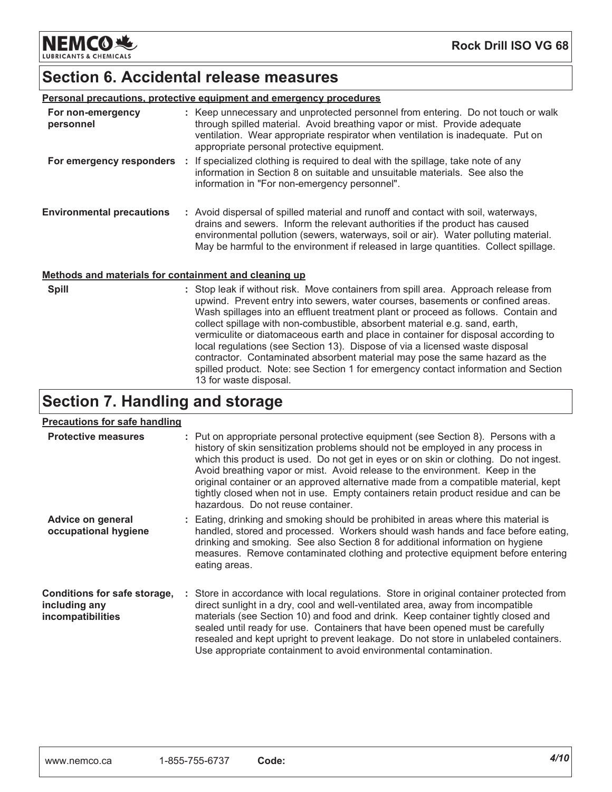**NEMCO头 LUBRICANTS & CHEMICALS** 

### **Section 6. Accidental release measures**

| Personal precautions, protective equipment and emergency procedures |  |                                                                                                                                                                                                                                                                                                                                                   |  |
|---------------------------------------------------------------------|--|---------------------------------------------------------------------------------------------------------------------------------------------------------------------------------------------------------------------------------------------------------------------------------------------------------------------------------------------------|--|
| For non-emergency<br>personnel                                      |  | : Keep unnecessary and unprotected personnel from entering. Do not touch or walk<br>through spilled material. Avoid breathing vapor or mist. Provide adequate<br>ventilation. Wear appropriate respirator when ventilation is inadequate. Put on<br>appropriate personal protective equipment.                                                    |  |
| For emergency responders :                                          |  | If specialized clothing is required to deal with the spillage, take note of any<br>information in Section 8 on suitable and unsuitable materials. See also the<br>information in "For non-emergency personnel".                                                                                                                                   |  |
| <b>Environmental precautions</b>                                    |  | : Avoid dispersal of spilled material and runoff and contact with soil, waterways,<br>drains and sewers. Inform the relevant authorities if the product has caused<br>environmental pollution (sewers, waterways, soil or air). Water polluting material.<br>May be harmful to the environment if released in large quantities. Collect spillage. |  |
| Methods and materials for containment and cleaning up               |  |                                                                                                                                                                                                                                                                                                                                                   |  |
| <b>Spill</b>                                                        |  | : Stop leak if without risk. Move containers from spill area. Approach release from<br>upwind. Prevent entry into sewers, water courses, basements or confined areas.<br>Mach epillones into an effluent treatment plant or proceed as follows. Contain and                                                                                       |  |

Wash spillages into an effluent treatment plant or proceed as follows. Contain and collect spillage with non-combustible, absorbent material e.g. sand, earth, vermiculite or diatomaceous earth and place in container for disposal according to local regulations (see Section 13). Dispose of via a licensed waste disposal contractor. Contaminated absorbent material may pose the same hazard as the spilled product. Note: see Section 1 for emergency contact information and Section 13 for waste disposal.

### **Section 7. Handling and storage**

#### Precautions for safe handling

| <b>Protective measures</b>                                         | : Put on appropriate personal protective equipment (see Section 8). Persons with a<br>history of skin sensitization problems should not be employed in any process in<br>which this product is used. Do not get in eyes or on skin or clothing. Do not ingest.<br>Avoid breathing vapor or mist. Avoid release to the environment. Keep in the<br>original container or an approved alternative made from a compatible material, kept<br>tightly closed when not in use. Empty containers retain product residue and can be<br>hazardous. Do not reuse container. |
|--------------------------------------------------------------------|-------------------------------------------------------------------------------------------------------------------------------------------------------------------------------------------------------------------------------------------------------------------------------------------------------------------------------------------------------------------------------------------------------------------------------------------------------------------------------------------------------------------------------------------------------------------|
| Advice on general<br>occupational hygiene                          | : Eating, drinking and smoking should be prohibited in areas where this material is<br>handled, stored and processed. Workers should wash hands and face before eating,<br>drinking and smoking. See also Section 8 for additional information on hygiene<br>measures. Remove contaminated clothing and protective equipment before entering<br>eating areas.                                                                                                                                                                                                     |
| Conditions for safe storage,<br>including any<br>incompatibilities | : Store in accordance with local regulations. Store in original container protected from<br>direct sunlight in a dry, cool and well-ventilated area, away from incompatible<br>materials (see Section 10) and food and drink. Keep container tightly closed and<br>sealed until ready for use. Containers that have been opened must be carefully<br>resealed and kept upright to prevent leakage. Do not store in unlabeled containers.<br>Use appropriate containment to avoid environmental contamination.                                                     |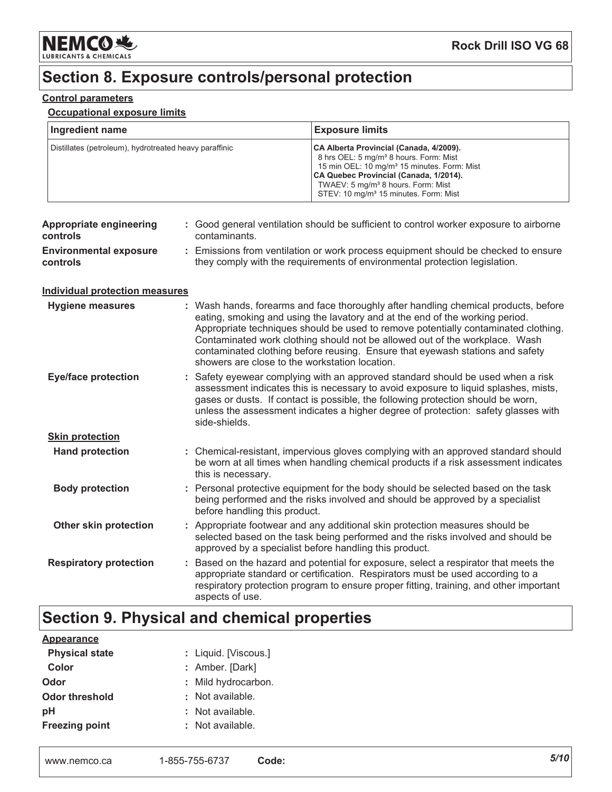

### Section 8. Exposure controls/personal protection

#### **Control parameters**

#### **Occupational exposure limits**

| Ingredient name                                        | <b>Exposure limits</b>                                                                                                                                                                                                                                                                                    |
|--------------------------------------------------------|-----------------------------------------------------------------------------------------------------------------------------------------------------------------------------------------------------------------------------------------------------------------------------------------------------------|
| Distillates (petroleum), hydrotreated heavy paraffinic | CA Alberta Provincial (Canada, 4/2009).<br>8 hrs OEL: 5 mg/m <sup>3</sup> 8 hours. Form: Mist<br>15 min OEL: 10 mg/m <sup>3</sup> 15 minutes. Form: Mist<br>CA Quebec Provincial (Canada, 1/2014).<br>TWAEV: 5 mg/m <sup>3</sup> 8 hours. Form: Mist<br>STEV: 10 mg/m <sup>3</sup> 15 minutes. Form: Mist |

| <b>Appropriate engineering</b><br>controls | : Good general ventilation should be sufficient to control worker exposure to airborne<br>contaminants.                                                                                                                                                                                                                                                                                                                                                                     |
|--------------------------------------------|-----------------------------------------------------------------------------------------------------------------------------------------------------------------------------------------------------------------------------------------------------------------------------------------------------------------------------------------------------------------------------------------------------------------------------------------------------------------------------|
| <b>Environmental exposure</b><br>controls  | : Emissions from ventilation or work process equipment should be checked to ensure<br>they comply with the requirements of environmental protection legislation.                                                                                                                                                                                                                                                                                                            |
| Individual protection measures             |                                                                                                                                                                                                                                                                                                                                                                                                                                                                             |
| <b>Hygiene measures</b>                    | : Wash hands, forearms and face thoroughly after handling chemical products, before<br>eating, smoking and using the lavatory and at the end of the working period.<br>Appropriate techniques should be used to remove potentially contaminated clothing.<br>Contaminated work clothing should not be allowed out of the workplace. Wash<br>contaminated clothing before reusing. Ensure that eyewash stations and safety<br>showers are close to the workstation location. |
| <b>Eye/face protection</b>                 | : Safety eyewear complying with an approved standard should be used when a risk<br>assessment indicates this is necessary to avoid exposure to liquid splashes, mists,<br>gases or dusts. If contact is possible, the following protection should be worn,<br>unless the assessment indicates a higher degree of protection: safety glasses with<br>side-shields.                                                                                                           |
| <b>Skin protection</b>                     |                                                                                                                                                                                                                                                                                                                                                                                                                                                                             |
| <b>Hand protection</b>                     | : Chemical-resistant, impervious gloves complying with an approved standard should<br>be worn at all times when handling chemical products if a risk assessment indicates<br>this is necessary.                                                                                                                                                                                                                                                                             |
| <b>Body protection</b>                     | : Personal protective equipment for the body should be selected based on the task<br>being performed and the risks involved and should be approved by a specialist<br>before handling this product.                                                                                                                                                                                                                                                                         |
| Other skin protection                      | : Appropriate footwear and any additional skin protection measures should be<br>selected based on the task being performed and the risks involved and should be<br>approved by a specialist before handling this product.                                                                                                                                                                                                                                                   |
| <b>Respiratory protection</b>              | : Based on the hazard and potential for exposure, select a respirator that meets the<br>appropriate standard or certification. Respirators must be used according to a<br>respiratory protection program to ensure proper fitting, training, and other important<br>aspects of use.                                                                                                                                                                                         |

### Section 9. Physical and chemical properties

| : Liquid. [Viscous.] |
|----------------------|
| : Amber. [Dark]      |
| : Mild hydrocarbon.  |
| : Not available.     |
| : Not available.     |
| : Not available.     |
|                      |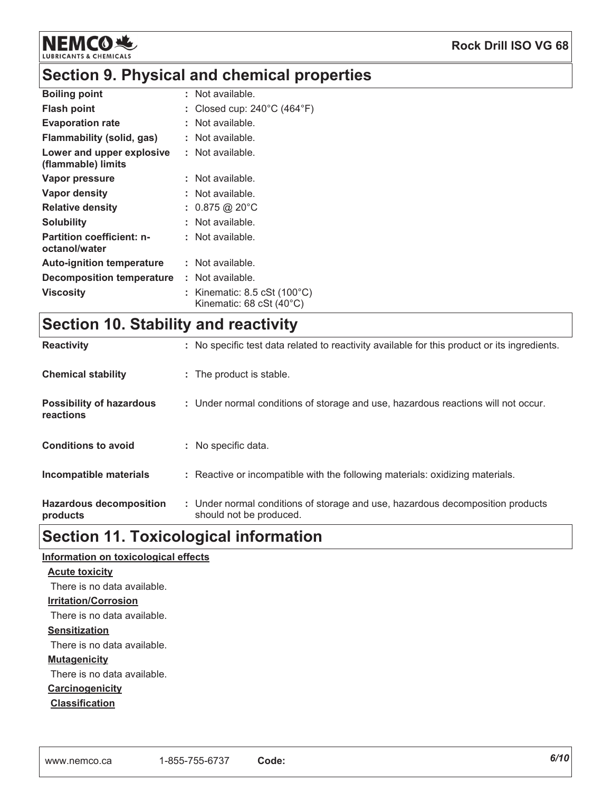

### Section 9. Physical and chemical properties

| <b>Boiling point</b>                              | : Not available.                                                                                     |
|---------------------------------------------------|------------------------------------------------------------------------------------------------------|
| <b>Flash point</b>                                | Closed cup: $240^{\circ}$ C (464 $^{\circ}$ F)                                                       |
| <b>Evaporation rate</b>                           | Not available.                                                                                       |
| Flammability (solid, gas)                         | : Not available.                                                                                     |
| Lower and upper explosive<br>(flammable) limits   | : Not available.                                                                                     |
| Vapor pressure                                    | Not available.                                                                                       |
| Vapor density                                     | Not available.                                                                                       |
| <b>Relative density</b>                           | : $0.875$ @ 20°C                                                                                     |
| <b>Solubility</b>                                 | Not available.                                                                                       |
| <b>Partition coefficient: n-</b><br>octanol/water | : Not available.                                                                                     |
| <b>Auto-ignition temperature</b>                  | Not available.                                                                                       |
| Decomposition temperature                         | : Not available.                                                                                     |
| <b>Viscosity</b>                                  | Kinematic: $8.5 \text{ cSt}$ (100 $^{\circ}$ C)<br>Kinematic: $68 \text{ cSt} (40^{\circ} \text{C})$ |

## Section 10. Stability and reactivity

| <b>Reactivity</b>                            | : No specific test data related to reactivity available for this product or its ingredients.              |
|----------------------------------------------|-----------------------------------------------------------------------------------------------------------|
| <b>Chemical stability</b>                    | : The product is stable.                                                                                  |
| <b>Possibility of hazardous</b><br>reactions | : Under normal conditions of storage and use, hazardous reactions will not occur.                         |
| <b>Conditions to avoid</b>                   | : No specific data.                                                                                       |
| Incompatible materials                       | : Reactive or incompatible with the following materials: oxidizing materials.                             |
| <b>Hazardous decomposition</b><br>products   | : Under normal conditions of storage and use, hazardous decomposition products<br>should not be produced. |

### **Section 11. Toxicological information**

| <u>nformation on toxicological effects</u> |
|--------------------------------------------|
| <b>Acute toxicity</b>                      |
| There is no data available.                |
| <b>Irritation/Corrosion</b>                |
| There is no data available.                |
| <b>Sensitization</b>                       |
| There is no data available.                |
| <b>Mutagenicity</b>                        |
| There is no data available.                |
| Carcinogenicity                            |
| <b>Classification</b>                      |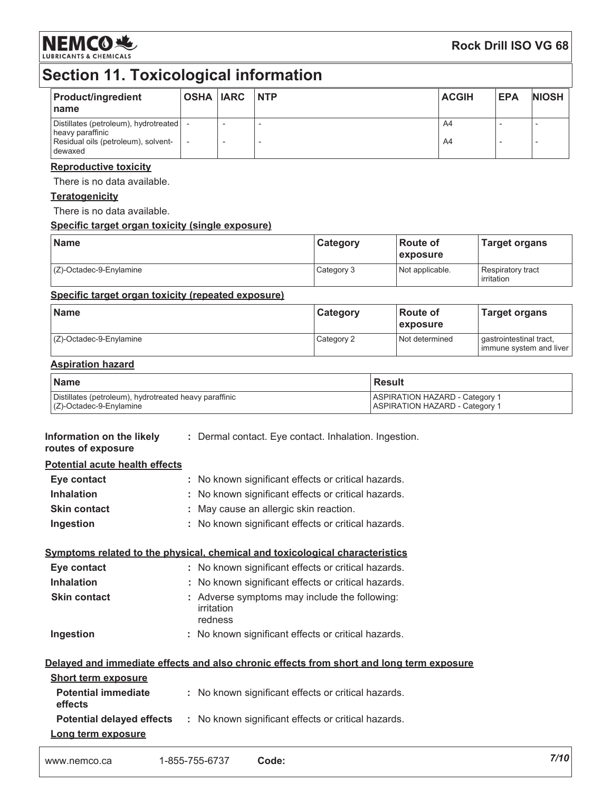

### **Rock Drill ISO VG 68**

## Section 11. Toxicological information

| <b>Product/ingredient</b><br>name                                                                           | <b>OSHA IARC NTP</b> |  | <b>ACGIH</b> | <b>EPA</b> | <b>NIOSH</b> |
|-------------------------------------------------------------------------------------------------------------|----------------------|--|--------------|------------|--------------|
| Distillates (petroleum), hydrotreated<br>heavy paraffinic<br>Residual oils (petroleum), solvent-<br>dewaxed |                      |  | A4<br>A4     |            |              |

#### **Reproductive toxicity**

There is no data available.

#### **Teratogenicity**

There is no data available.

#### Specific target organ toxicity (single exposure)

| <b>Name</b>             | Category   | l Route of<br><b>Lexposure</b> | <b>Target organs</b>            |
|-------------------------|------------|--------------------------------|---------------------------------|
| (Z)-Octadec-9-Enylamine | Category 3 | Not applicable.                | Respiratory tract<br>irritation |

#### Specific target organ toxicity (repeated exposure)

| <b>Name</b>                | <b>Category</b> | ∣Route of<br>exposure | <b>Target organs</b>                               |
|----------------------------|-----------------|-----------------------|----------------------------------------------------|
| $(C)$ -Octadec-9-Enylamine | Category 2      | Not determined        | gastrointestinal tract,<br>immune system and liver |

#### **Aspiration hazard**

| <b>Name</b>                                            | l Result                              |
|--------------------------------------------------------|---------------------------------------|
| Distillates (petroleum), hydrotreated heavy paraffinic | <b>ASPIRATION HAZARD - Category 1</b> |
| $(Z)$ -Octadec-9-Enylamine                             | <b>ASPIRATION HAZARD - Category 1</b> |

| Information on the likely<br>routes of exposure | : Dermal contact. Eye contact. Inhalation. Ingestion.                                    |
|-------------------------------------------------|------------------------------------------------------------------------------------------|
| <b>Potential acute health effects</b>           |                                                                                          |
| Eye contact                                     | : No known significant effects or critical hazards.                                      |
| <b>Inhalation</b>                               | : No known significant effects or critical hazards.                                      |
| <b>Skin contact</b>                             | : May cause an allergic skin reaction.                                                   |
| Ingestion                                       | : No known significant effects or critical hazards.                                      |
|                                                 | Symptoms related to the physical, chemical and toxicological characteristics             |
| Eye contact                                     | : No known significant effects or critical hazards.                                      |
| <b>Inhalation</b>                               | : No known significant effects or critical hazards.                                      |
| <b>Skin contact</b>                             | : Adverse symptoms may include the following:<br>irritation<br>redness                   |
| Ingestion                                       | : No known significant effects or critical hazards.                                      |
|                                                 | Delayed and immediate effects and also chronic effects from short and long term exposure |
| <b>Short term exposure</b>                      |                                                                                          |
| <b>Potential immediate</b><br>effects           | : No known significant effects or critical hazards.                                      |
|                                                 | <b>Potential delayed effects</b> : No known significant effects or critical hazards.     |
| Long term exposure                              |                                                                                          |
|                                                 |                                                                                          |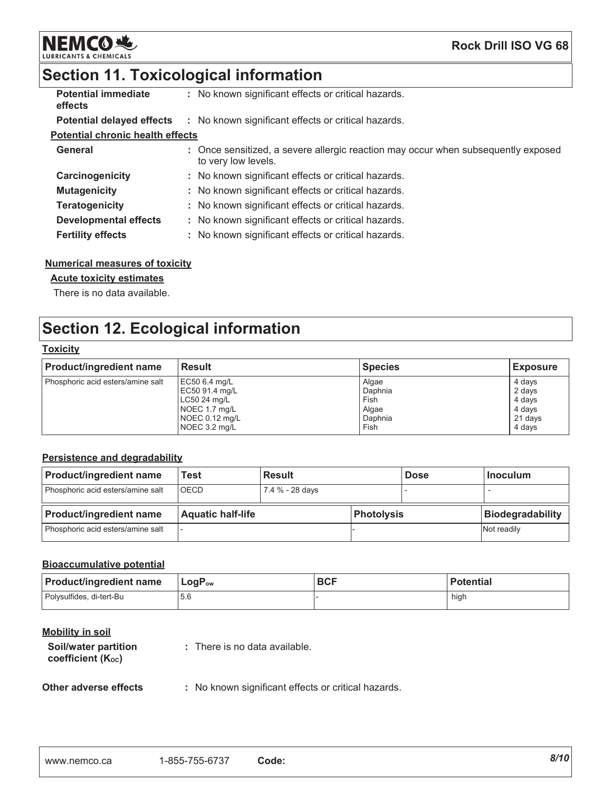

# Section 11. Toxicological information

| <b>Potential immediate</b><br>effects   | : No known significant effects or critical hazards.                                                      |
|-----------------------------------------|----------------------------------------------------------------------------------------------------------|
|                                         | <b>Potential delayed effects</b> : No known significant effects or critical hazards.                     |
| <b>Potential chronic health effects</b> |                                                                                                          |
| <b>General</b>                          | : Once sensitized, a severe allergic reaction may occur when subsequently exposed<br>to very low levels. |
| Carcinogenicity                         | : No known significant effects or critical hazards.                                                      |
| <b>Mutagenicity</b>                     | : No known significant effects or critical hazards.                                                      |
| <b>Teratogenicity</b>                   | : No known significant effects or critical hazards.                                                      |
| Developmental effects                   | : No known significant effects or critical hazards.                                                      |
| <b>Fertility effects</b>                | : No known significant effects or critical hazards.                                                      |

#### **Numerical measures of toxicity**

#### **Acute toxicity estimates**

There is no data available.

### **Section 12. Ecological information**

#### **Toxicity**

| <b>Product/ingredient name</b>    | <b>Result</b>  | <b>Species</b> | <b>Exposure</b> |
|-----------------------------------|----------------|----------------|-----------------|
| Phosphoric acid esters/amine salt | EC50 6.4 mg/L  | Algae          | 4 days          |
|                                   | EC50 91.4 mg/L | Daphnia        | 2 days          |
|                                   | LC50 24 mg/L   | Fish           | 4 days          |
|                                   | NOEC 1.7 mg/L  | Algae          | 4 days          |
|                                   | NOEC 0.12 mg/L | Daphnia        | 21 days         |
|                                   | NOEC 3.2 mg/L  | Fish           | 4 days          |

#### Persistence and degradability

| <b>Product/ingredient name</b>    | Test                     | <b>Result</b>   |            | <b>Dose</b> | <b>Inoculum</b>         |
|-----------------------------------|--------------------------|-----------------|------------|-------------|-------------------------|
| Phosphoric acid esters/amine salt | <b>IOECD</b>             | 7.4 % - 28 days |            |             |                         |
|                                   |                          |                 |            |             |                         |
| <b>Product/ingredient name</b>    | <b>Aquatic half-life</b> |                 | Photolysis |             | <b>Biodegradability</b> |

#### **Bioaccumulative potential**

| <b>Product/ingredient name</b> | ∣ LoqP <sub>ow</sub> | <b>BCF</b> | <b>Potential</b> |
|--------------------------------|----------------------|------------|------------------|
| l Polvsulfides. di-tert-Bu     | 5.6                  |            | high             |

#### **Mobility in soil**

| Soil/water partition<br>coefficient (K <sub>oc</sub> ) | : There is no data available. |
|--------------------------------------------------------|-------------------------------|
|                                                        |                               |

#### Other adverse effects : No known significant effects or critical hazards.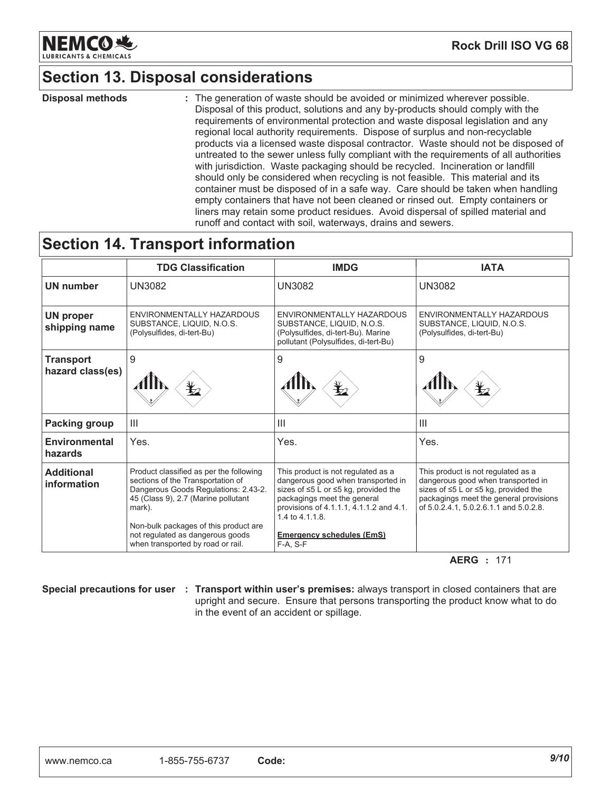

### **Section 13. Disposal considerations**

**Disposal methods** : The generation of waste should be avoided or minimized wherever possible. Disposal of this product, solutions and any by-products should comply with the requirements of environmental protection and waste disposal legislation and any regional local authority requirements. Dispose of surplus and non-recyclable products via a licensed waste disposal contractor. Waste should not be disposed of untreated to the sewer unless fully compliant with the requirements of all authorities with jurisdiction. Waste packaging should be recycled. Incineration or landfill should only be considered when recycling is not feasible. This material and its container must be disposed of in a safe way. Care should be taken when handling empty containers that have not been cleaned or rinsed out. Empty containers or liners may retain some product residues. Avoid dispersal of spilled material and runoff and contact with soil, waterways, drains and sewers.

### **Section 14. Transport information**

|                                      | <b>TDG Classification</b>                                                                                                                                                                                                                                                               | <b>IMDG</b>                                                                                                                                                                                                                                                               | <b>IATA</b>                                                                                                                                                                                                      |
|--------------------------------------|-----------------------------------------------------------------------------------------------------------------------------------------------------------------------------------------------------------------------------------------------------------------------------------------|---------------------------------------------------------------------------------------------------------------------------------------------------------------------------------------------------------------------------------------------------------------------------|------------------------------------------------------------------------------------------------------------------------------------------------------------------------------------------------------------------|
| <b>UN number</b>                     | <b>UN3082</b>                                                                                                                                                                                                                                                                           | <b>UN3082</b>                                                                                                                                                                                                                                                             | <b>UN3082</b>                                                                                                                                                                                                    |
| <b>UN proper</b><br>shipping name    | ENVIRONMENTALLY HAZARDOUS<br>SUBSTANCE, LIQUID, N.O.S.<br>(Polysulfides, di-tert-Bu)                                                                                                                                                                                                    | ENVIRONMENTALLY HAZARDOUS<br>SUBSTANCE, LIQUID, N.O.S.<br>(Polysulfides, di-tert-Bu). Marine<br>pollutant (Polysulfides, di-tert-Bu)                                                                                                                                      | ENVIRONMENTALLY HAZARDOUS<br>SUBSTANCE, LIQUID, N.O.S.<br>(Polysulfides, di-tert-Bu)                                                                                                                             |
| <b>Transport</b><br>hazard class(es) | 9                                                                                                                                                                                                                                                                                       | 9<br>$\mathbf{Y}_{2}$                                                                                                                                                                                                                                                     | 9<br>$\mathbf{\mathbf{\mathbf{\mathbf{\mathbf{\mathbf{\mathbf{\mathbf{Y}}}}}}$                                                                                                                                   |
| <b>Packing group</b>                 | $\mathbf{III}$                                                                                                                                                                                                                                                                          | $\mathbf{III}$                                                                                                                                                                                                                                                            | Ш                                                                                                                                                                                                                |
| Environmental<br>hazards             | Yes.                                                                                                                                                                                                                                                                                    | Yes.                                                                                                                                                                                                                                                                      | Yes.                                                                                                                                                                                                             |
| <b>Additional</b><br>information     | Product classified as per the following<br>sections of the Transportation of<br>Dangerous Goods Regulations: 2.43-2.<br>45 (Class 9), 2.7 (Marine pollutant<br>mark).<br>Non-bulk packages of this product are<br>not regulated as dangerous goods<br>when transported by road or rail. | This product is not regulated as a<br>dangerous good when transported in<br>sizes of $\leq 5$ L or $\leq 5$ kg, provided the<br>packagings meet the general<br>provisions of 4.1.1.1, 4.1.1.2 and 4.1.<br>1.4 to 4.1.1.8.<br><b>Emergency schedules (EmS)</b><br>F-A. S-F | This product is not regulated as a<br>dangerous good when transported in<br>sizes of $\leq 5$ L or $\leq 5$ kg, provided the<br>packagings meet the general provisions<br>of 5.0.2.4.1, 5.0.2.6.1.1 and 5.0.2.8. |

**AERG** : 171

Special precautions for user : Transport within user's premises: always transport in closed containers that are upright and secure. Ensure that persons transporting the product know what to do in the event of an accident or spillage.